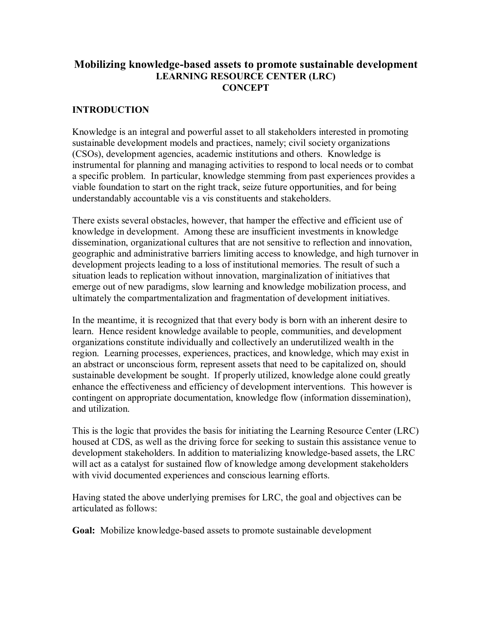## **Mobilizing knowledge-based assets to promote sustainable development LEARNING RESOURCE CENTER (LRC) CONCEPT**

## **INTRODUCTION**

Knowledge is an integral and powerful asset to all stakeholders interested in promoting sustainable development models and practices, namely; civil society organizations (CSOs), development agencies, academic institutions and others. Knowledge is instrumental for planning and managing activities to respond to local needs or to combat a specific problem. In particular, knowledge stemming from past experiences provides a viable foundation to start on the right track, seize future opportunities, and for being understandably accountable vis a vis constituents and stakeholders.

There exists several obstacles, however, that hamper the effective and efficient use of knowledge in development. Among these are insufficient investments in knowledge dissemination, organizational cultures that are not sensitive to reflection and innovation, geographic and administrative barriers limiting access to knowledge, and high turnover in development projects leading to a loss of institutional memories. The result of such a situation leads to replication without innovation, marginalization of initiatives that emerge out of new paradigms, slow learning and knowledge mobilization process, and ultimately the compartmentalization and fragmentation of development initiatives.

In the meantime, it is recognized that that every body is born with an inherent desire to learn. Hence resident knowledge available to people, communities, and development organizations constitute individually and collectively an underutilized wealth in the region. Learning processes, experiences, practices, and knowledge, which may exist in an abstract or unconscious form, represent assets that need to be capitalized on, should sustainable development be sought. If properly utilized, knowledge alone could greatly enhance the effectiveness and efficiency of development interventions. This however is contingent on appropriate documentation, knowledge flow (information dissemination), and utilization.

This is the logic that provides the basis for initiating the Learning Resource Center (LRC) housed at CDS, as well as the driving force for seeking to sustain this assistance venue to development stakeholders. In addition to materializing knowledge-based assets, the LRC will act as a catalyst for sustained flow of knowledge among development stakeholders with vivid documented experiences and conscious learning efforts.

Having stated the above underlying premises for LRC, the goal and objectives can be articulated as follows:

**Goal:** Mobilize knowledge-based assets to promote sustainable development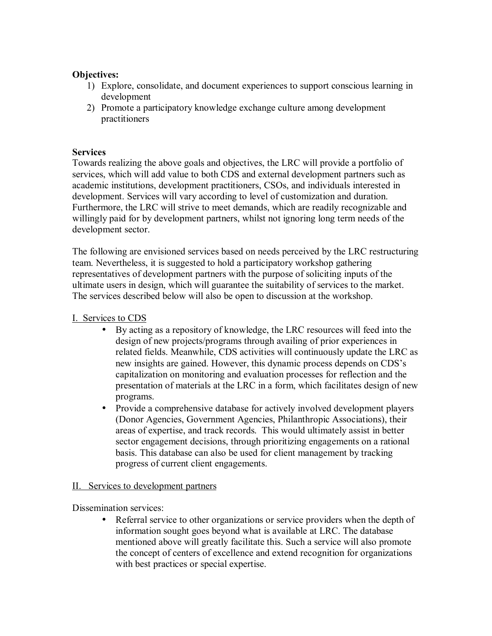### **Objectives:**

- 1) Explore, consolidate, and document experiences to support conscious learning in development
- 2) Promote a participatory knowledge exchange culture among development practitioners

#### **Services**

Towards realizing the above goals and objectives, the LRC will provide a portfolio of services, which will add value to both CDS and external development partners such as academic institutions, development practitioners, CSOs, and individuals interested in development. Services will vary according to level of customization and duration. Furthermore, the LRC will strive to meet demands, which are readily recognizable and willingly paid for by development partners, whilst not ignoring long term needs of the development sector.

The following are envisioned services based on needs perceived by the LRC restructuring team. Nevertheless, it is suggested to hold a participatory workshop gathering representatives of development partners with the purpose of soliciting inputs of the ultimate users in design, which will guarantee the suitability of services to the market. The services described below will also be open to discussion at the workshop.

#### I. Services to CDS

- By acting as a repository of knowledge, the LRC resources will feed into the design of new projects/programs through availing of prior experiences in related fields. Meanwhile, CDS activities will continuously update the LRC as new insights are gained. However, this dynamic process depends on CDS's capitalization on monitoring and evaluation processes for reflection and the presentation of materials at the LRC in a form, which facilitates design of new programs.
- Provide a comprehensive database for actively involved development players (Donor Agencies, Government Agencies, Philanthropic Associations), their areas of expertise, and track records. This would ultimately assist in better sector engagement decisions, through prioritizing engagements on a rational basis. This database can also be used for client management by tracking progress of current client engagements.

#### II. Services to development partners

Dissemination services:

• Referral service to other organizations or service providers when the depth of information sought goes beyond what is available at LRC. The database mentioned above will greatly facilitate this. Such a service will also promote the concept of centers of excellence and extend recognition for organizations with best practices or special expertise.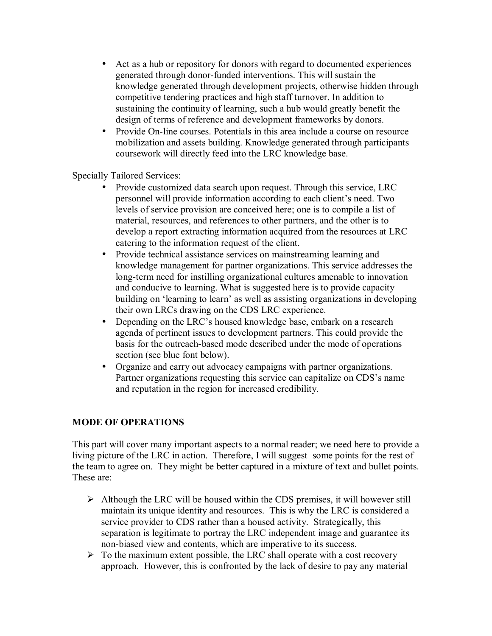- Act as a hub or repository for donors with regard to documented experiences generated through donor-funded interventions. This will sustain the knowledge generated through development projects, otherwise hidden through competitive tendering practices and high staff turnover. In addition to sustaining the continuity of learning, such a hub would greatly benefit the design of terms of reference and development frameworks by donors.
- Provide On-line courses. Potentials in this area include a course on resource mobilization and assets building. Knowledge generated through participants coursework will directly feed into the LRC knowledge base.

Specially Tailored Services:

- Provide customized data search upon request. Through this service, LRC personnel will provide information according to each client's need. Two levels of service provision are conceived here; one is to compile a list of material, resources, and references to other partners, and the other is to develop a report extracting information acquired from the resources at LRC catering to the information request of the client.
- Provide technical assistance services on mainstreaming learning and knowledge management for partner organizations. This service addresses the long-term need for instilling organizational cultures amenable to innovation and conducive to learning. What is suggested here is to provide capacity building on 'learning to learn' as well as assisting organizations in developing their own LRCs drawing on the CDS LRC experience.
- Depending on the LRC's housed knowledge base, embark on a research agenda of pertinent issues to development partners. This could provide the basis for the outreach-based mode described under the mode of operations section (see blue font below).
- Organize and carry out advocacy campaigns with partner organizations. Partner organizations requesting this service can capitalize on CDS's name and reputation in the region for increased credibility.

# **MODE OF OPERATIONS**

This part will cover many important aspects to a normal reader; we need here to provide a living picture of the LRC in action. Therefore, I will suggest some points for the rest of the team to agree on. They might be better captured in a mixture of text and bullet points. These are:

- $\triangleright$  Although the LRC will be housed within the CDS premises, it will however still maintain its unique identity and resources. This is why the LRC is considered a service provider to CDS rather than a housed activity. Strategically, this separation is legitimate to portray the LRC independent image and guarantee its non-biased view and contents, which are imperative to its success.
- $\triangleright$  To the maximum extent possible, the LRC shall operate with a cost recovery approach. However, this is confronted by the lack of desire to pay any material